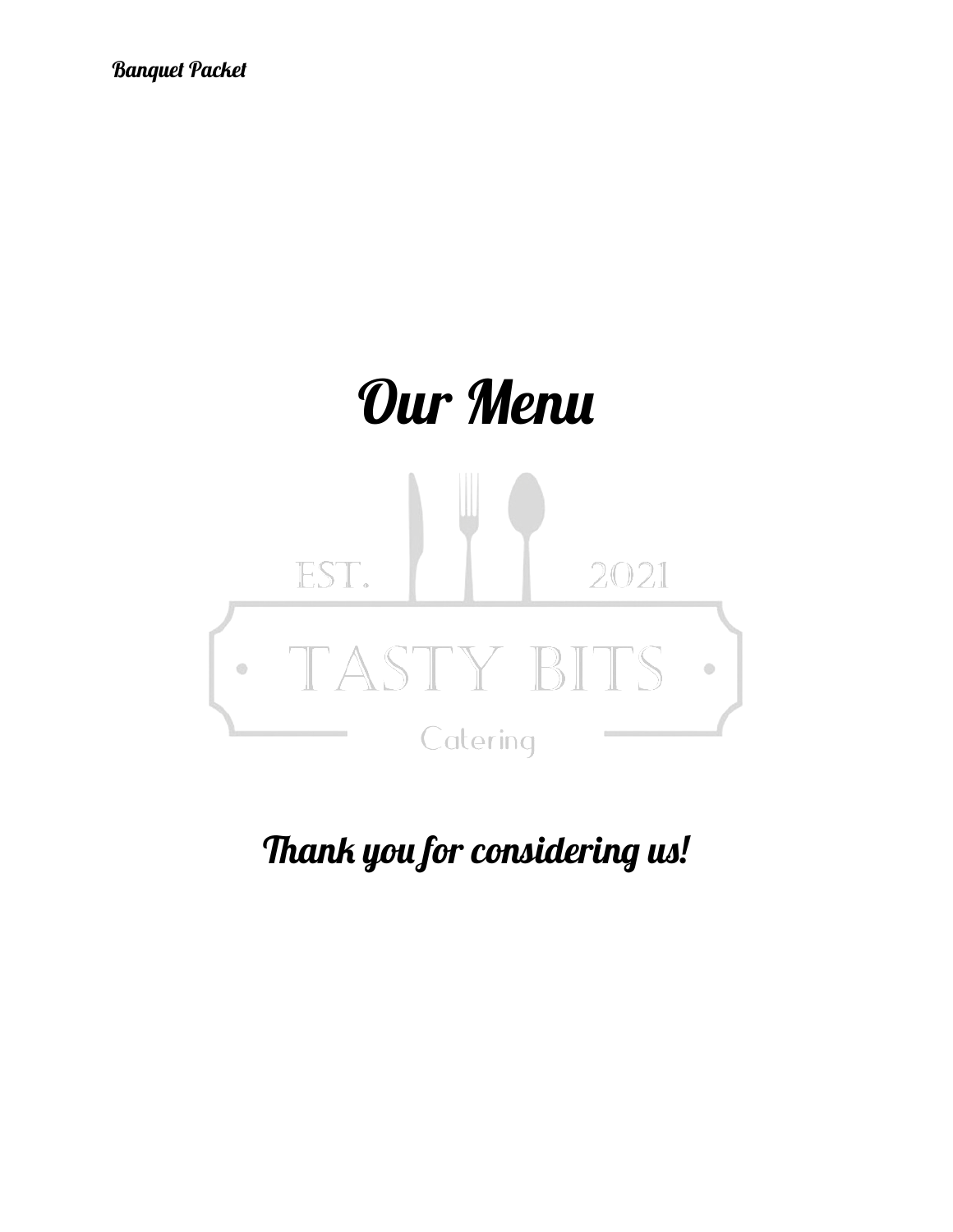

Thank you for considering us!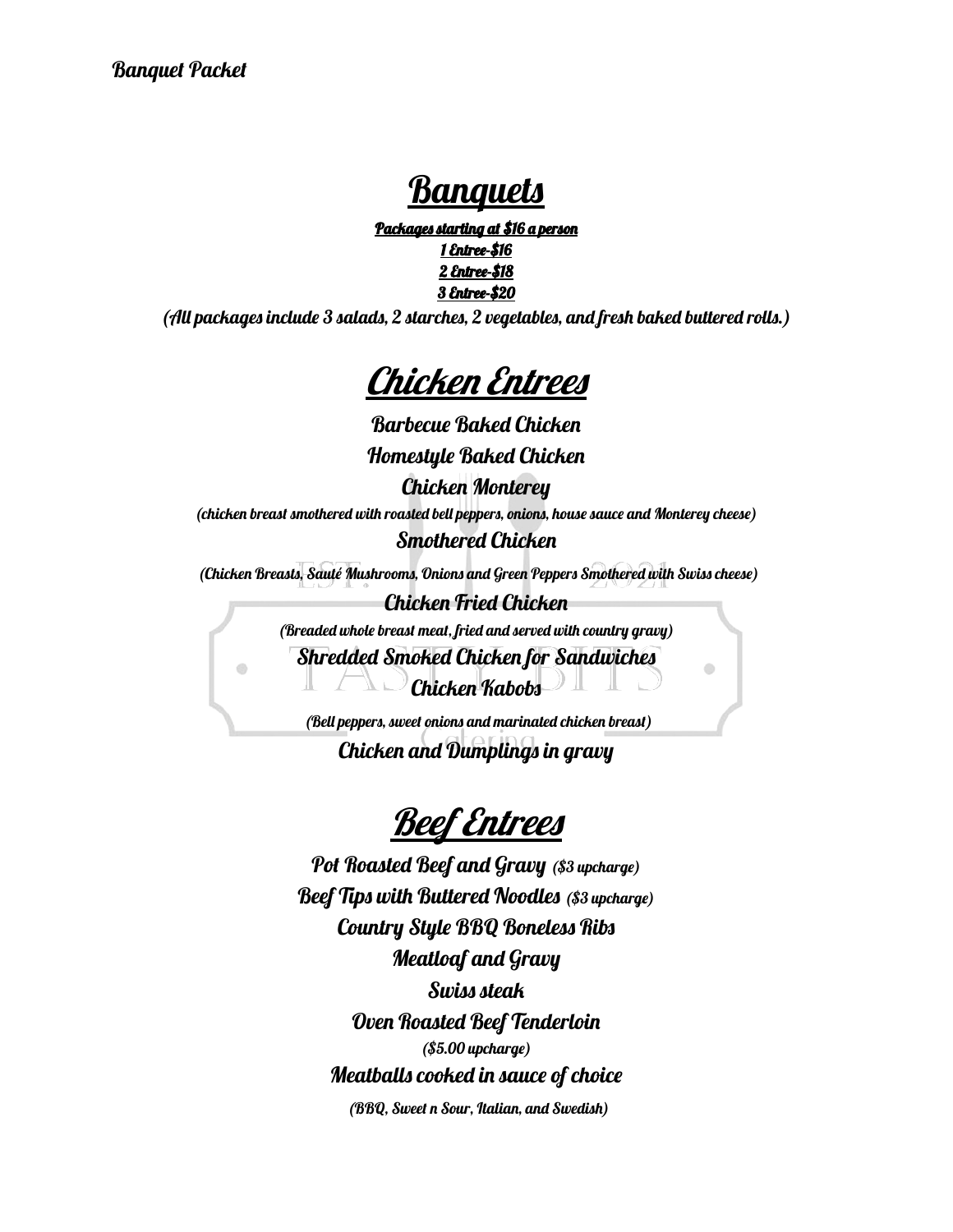### Banquets

Packages starting at \$16 a person Entree-\$16 Entree-\$18 Entree-\$20

(All packages include 3 salads, 2 starches, 2 vegetables, and fresh baked buttered rolls.)



Barbecue Baked Chicken Homestyle Baked Chicken

Chicken Monterey

(chicken breast smothered with roasted bell peppers, onions, house sauce and Monterey cheese) Smothered Chicken

(Chicken Breasts, Sauté Mushrooms, Onions and Green Peppers Smothered with Swiss cheese)

Chicken Fried Chicken (Breaded whole breast meat, fried and served with country gravy) Shredded Smoked Chicken for Sandwiches Chicken Kabobs

 $\circ$ 

(Bell peppers, sweet onions and marinated chicken breast)

Chicken and Dumplings in gravy

### **Beef Entrees**

Pot Roasted Beef and Gravy (\$3 upcharge) Beef Tips with Buttered Noodles (\$3 upcharge) Country Style BBQ Boneless Ribs Meatloaf and Gravy Swiss steak Oven Roasted Beef Tenderloin (\$5.00 upcharge) Meatballs cooked in sauce of choice

(BBQ, Sweet n Sour, Italian, and Swedish)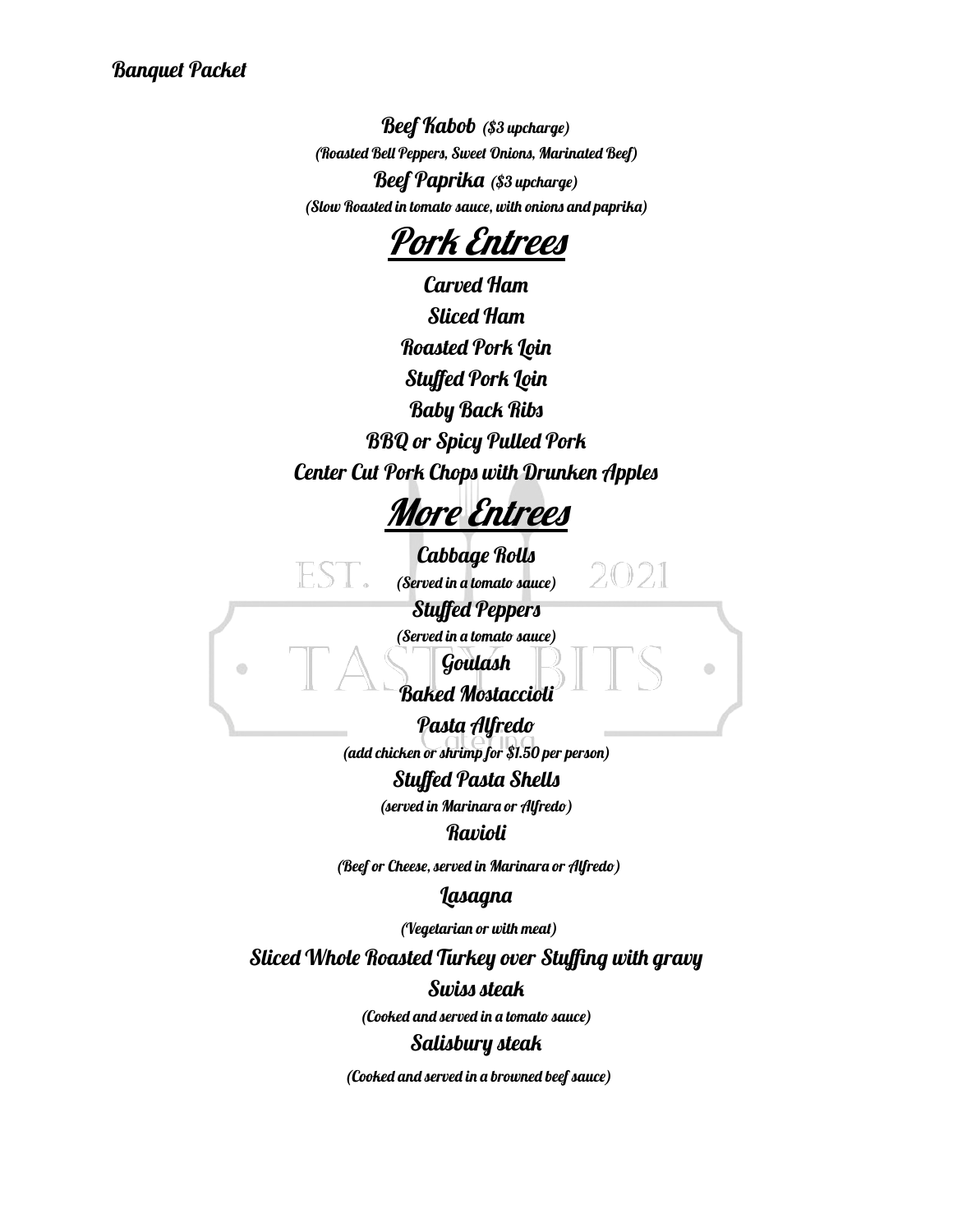Beef Kabob (\$3 upcharge) (Roasted Bell Peppers, Sweet Onions, Marinated Beef) Beef Paprika (\$3 upcharge) (Slow Roasted in tomato sauce, with onions and paprika)

Pork Entrees

Carved Ham Sliced Ham **Roasted Pork Loin** Stuffed Pork Loin Baby Back Ribs BBQ or Spicy Pulled Pork Center Cut Pork Chops with Drunken Apples

More Entrees

Cabbage Rolls (Served in a tomato sauce)

2.021

Stuffed Peppers

(Served in a tomato sauce)

Goulash

### Baked Mostaccioli

Pasta Alfredo (add chicken or shrimp for \$1.50 per person)

#### Stuffed Pasta Shells

(served in Marinara or Alfredo)

#### **Ravioli**

(Beef or Cheese, served in Marinara or Alfredo)

#### Lasagna

(Vegetarian or with meat)

Sliced Whole Roasted Turkey over Stuffing with gravy

Swiss steak

(Cooked and served in a tomato sauce)

#### Salisbury steak

(Cooked and served in a browned beef sauce)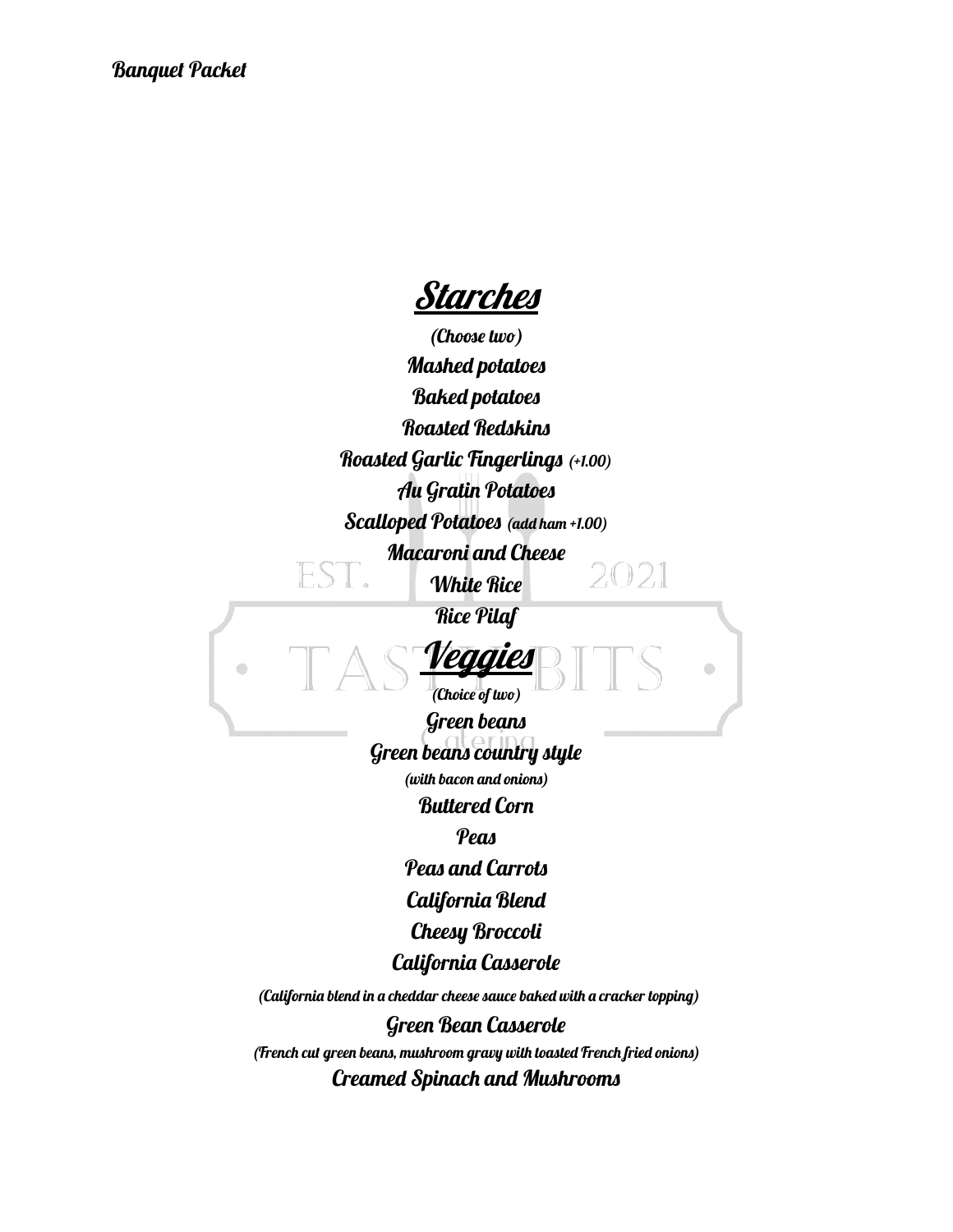*<u>Starches</u>* 

(Choose two) Mashed potatoes Baked potatoes Roasted Redskins Roasted Garlic Fingerlings (+1.00) Au Gratin Potatoes Scalloped Potatoes (add ham +1.00) Macaroni and Cheese 2021 White Rice Rice Pilaf Veggies  $\odot$ Ò (Choice of two) Green beans Green beans country style (with bacon and onions) Buttered Corn **Peas** Peas and Carrots California Blend Cheesy Broccoli California Casserole (California blend in a cheddar cheese sauce baked with a cracker topping) Green Bean Casserole (French cut green beans, mushroom gravy with toasted French fried onions) Creamed Spinach and Mushrooms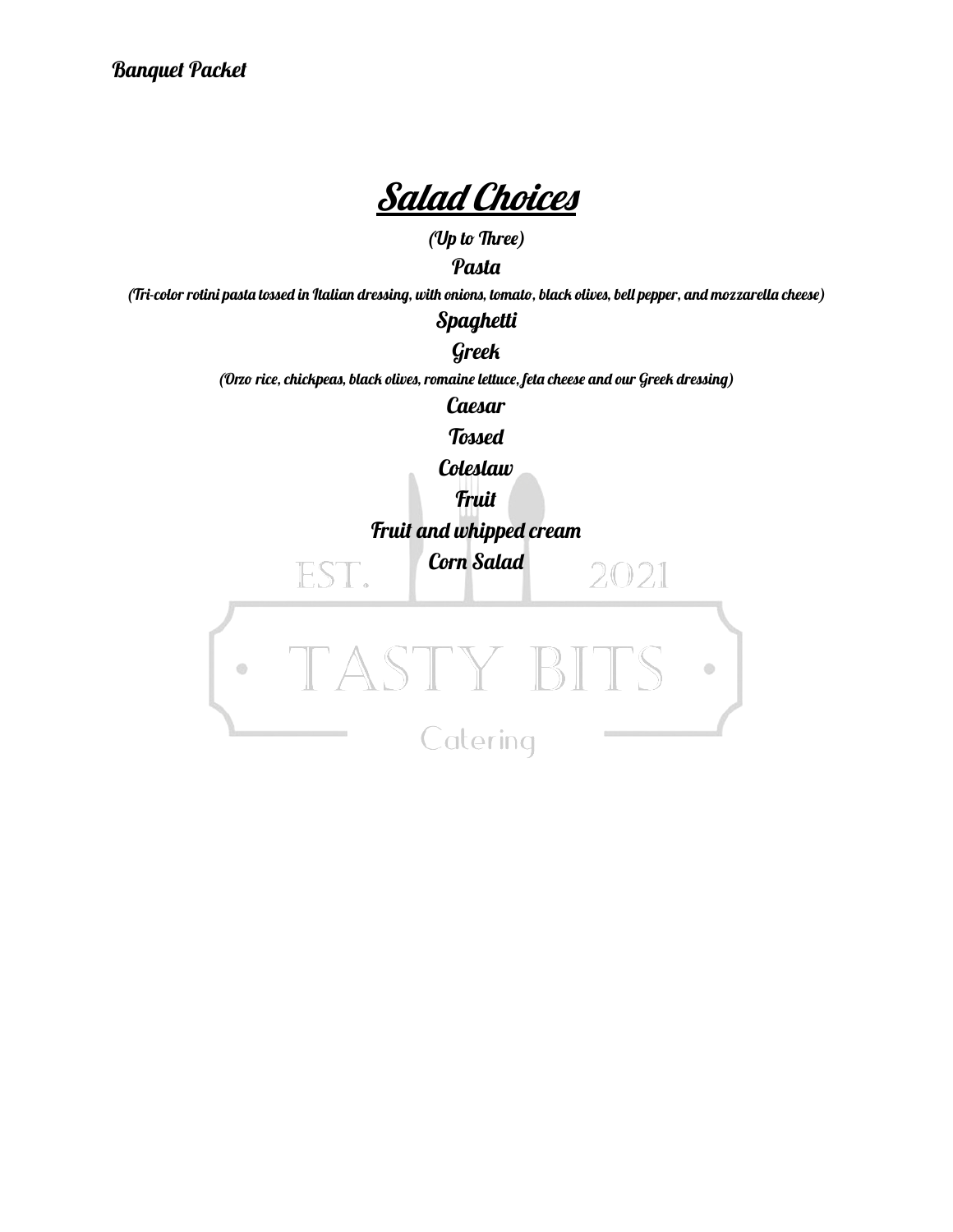

(Up to Three)

**Pasta** 

(Tri-color rotini pasta tossed in Italian dressing, with onions, tomato, black olives, bell pepper, and mozzarella cheese)

Spaghetti

Greek (Orzo rice, chickpeas, black olives, romaine lettuce, feta cheese and our Greek dressing)

**Caesar** 

Tossed

Coleslaw

**Fruit** 

Fruit and whipped cream

Corn Salad

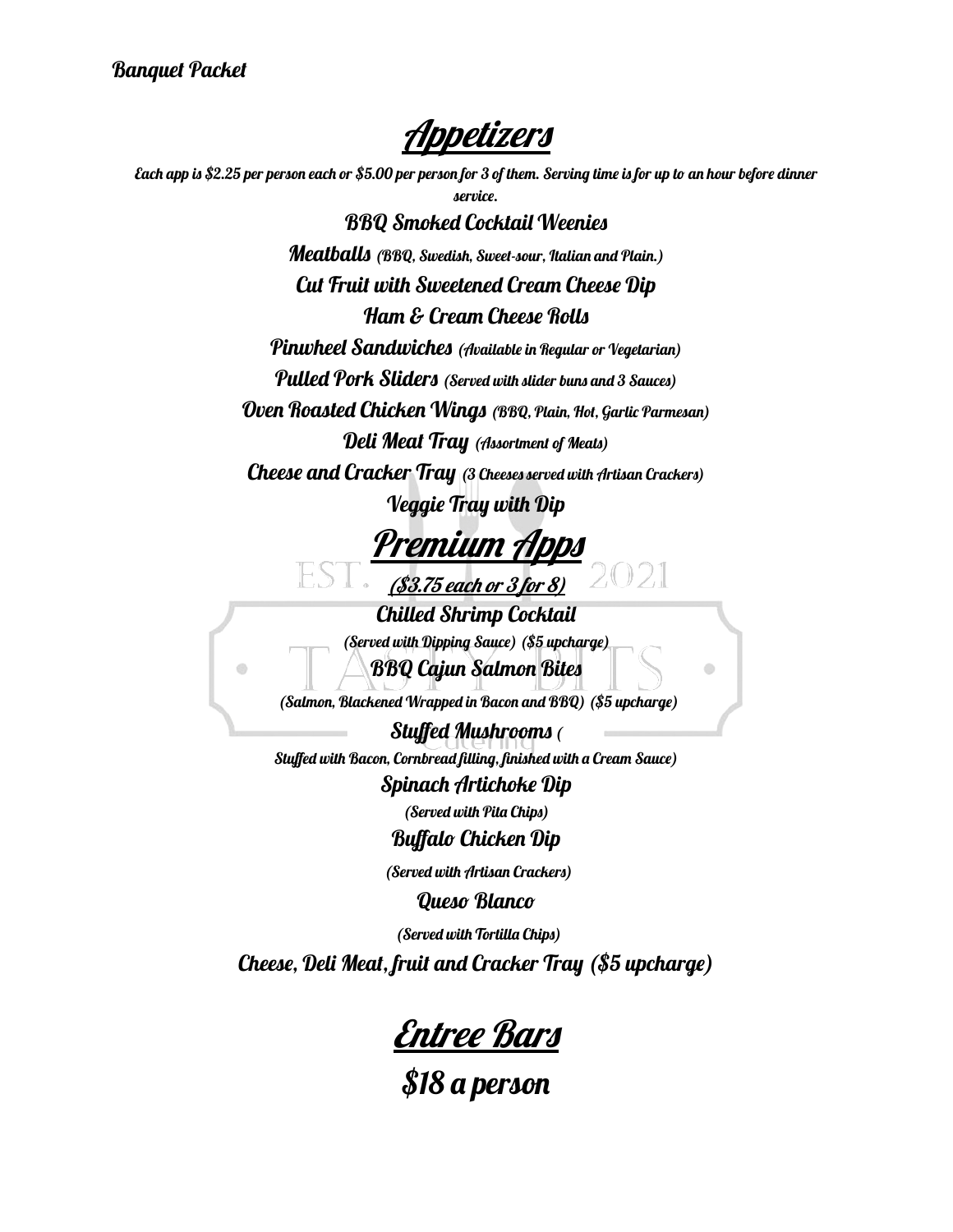Ø)

Appetizers

Each app is \$2.25 per person each or \$5.00 per person for 3 of them. Serving time is for up to an hour before dinner

service. BBQ Smoked Cocktail Weenies Meatballs (BBQ, Swedish, Sweet-sour, Italian and Plain.) Cut Fruit with Sweetened Cream Cheese Dip Ham & Cream Cheese Rolls Pinwheel Sandwiches (Available in Regular or Vegetarian) Pulled Pork Sliders (Served with slider buns and 3 Sauces) Oven Roasted Chicken Wings (BBQ, Plain, Hot, Garlic Parmesan) Deli Meat Tray (Assortment of Meats)

Cheese and Cracker Tray (3 Cheeses served with Artisan Crackers) Veggie Tray with Dip

Premium Apps

(\$3.75 each or <sup>3</sup> for 8)

Chilled Shrimp Cocktail (Served with Dipping Sauce) (\$5 upcharge) BBQ Cajun Salmon Bites

Ò

(Salmon, Blackened Wrapped in Bacon and BBQ) (\$5 upcharge)

Stuffed Mushrooms ( Stuffed with Bacon, Cornbread filling, finished with a Cream Sauce) Spinach Artichoke Dip

(Served with Pita Chips) Buffalo Chicken Dip

(Served with Artisan Crackers)

Queso Blanco

(Served with Tortilla Chips)

Cheese, Deli Meat, fruit and Cracker Tray (\$5 upcharge)

Entree Bars

\$18 a person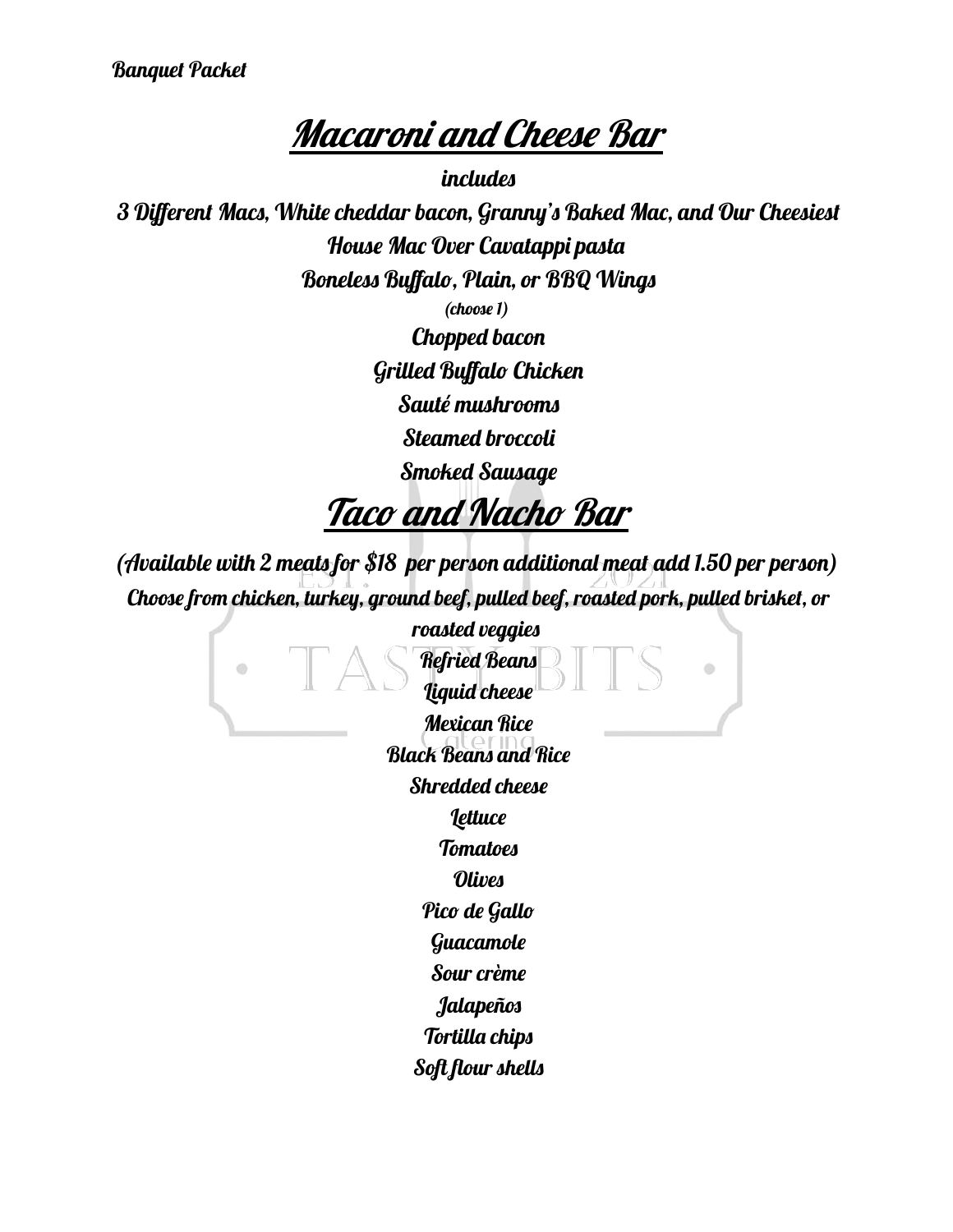Banquet Packet

## **Macaroni and Cheese Bar**

includes 3 Different Macs, White cheddar bacon, Granny's Baked Mac, and Our Cheesiest House Mac Over Cavatappi pasta Boneless Buffalo, Plain, or BBQ Wings (choose 1) Chopped bacon Grilled Buffalo Chicken Sauté mushrooms Steamed broccoli

Smoked Sausage

### Taco and Nacho Bar

(Available with 2 meats for \$18 per person additional meat add 1.50 per person) Choose from chicken, turkey, ground beef, pulled beef, roasted pork, pulled brisket, or

> roasted veggies Refried Beans Ō O) Liquid cheese Mexican Rice Black Beans and Rice Shredded cheese **Lettuce Tomatoes** Olives Pico de Gallo Guacamole Sour crème Jalapeños Tortilla chips Soft flour shells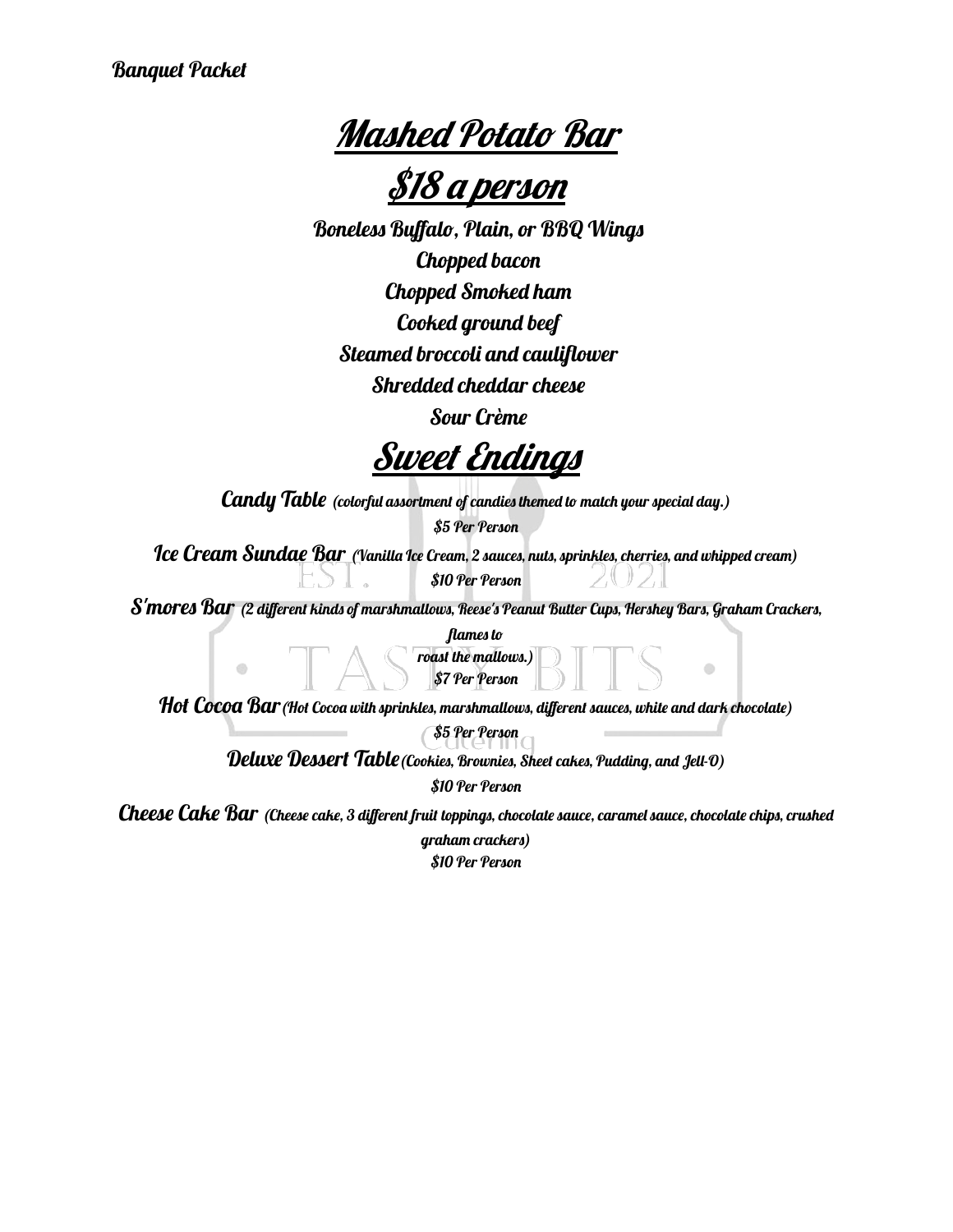Mashed Potato Bar

\$18 <sup>a</sup> person

Boneless Buffalo, Plain, or BBQ Wings Chopped bacon Chopped Smoked ham Cooked ground beef Steamed broccoli and cauliflower Shredded cheddar cheese Sour Crème

Sweet Endings

 $\mathcal{C}\hspace{-0.04cm}\textit{and}$   $\mathcal{V}\hspace{-0.04cm}\textit{Table}$  (colorful assortment of candies themed to match your special day.)

\$5 Per Person

Ice Cream Sundae Bar (Vanilla Ice Cream, 2 sauces, nuts, sprinkles, cherries, and whipped cream) \$10 Per Person

S'mores Bar (2 different kinds of marshmallows, Reese's Peanut Butter Cups, Hershey Bars, Graham Crackers,

flames to

roast the mallows.) \$7 Per Person

d)

Hot Cocoa Bar (Hot Cocoa with sprinkles, marshmallows, different sauces, white and dark chocolate)

\$5 Per Person

Deluxe Dessert Table (Cookies, Brownies, Sheet cakes, Pudding, and Jell-0)

\$10 Per Person

Cheese Cake Bar (Cheese cake, 3 different fruit toppings, chocolate sauce, caramel sauce, chocolate chips, crushed

graham crackers) \$10 Per Person